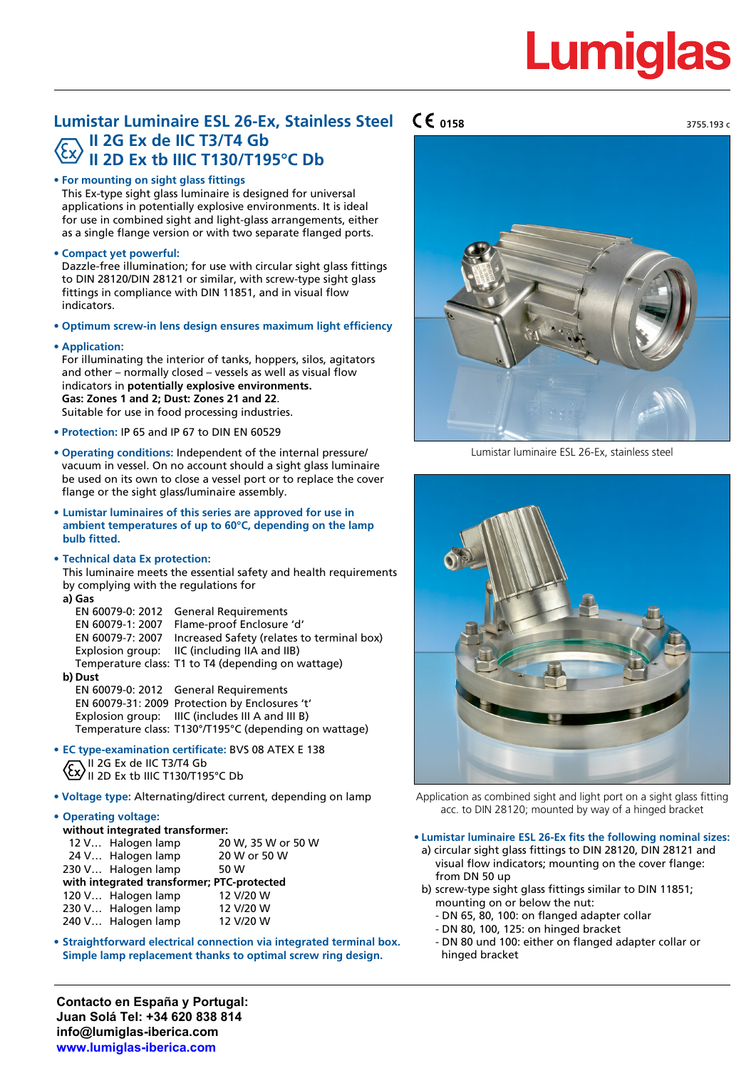## **Lumiglas**

### **Lumistar Luminaire ESL 26-Ex, Stainless Steel II 2G Ex de IIC T3/T4 Gb II 2D Ex tb IIIC T130/T195°C Db**

#### **• For mounting on sight glass fittings**

This Ex-type sight glass luminaire is designed for universal applications in potentially explosive environments. It is ideal for use in combined sight and light-glass arrangements, either as a single flange version or with two separate flanged ports.

#### **• Compact yet powerful:**

Dazzle-free illumination; for use with circular sight glass fittings to DIN 28120/DIN 28121 or similar, with screw-type sight glass fittings in compliance with DIN 11851, and in visual flow indicators.

**• Optimum screw-in lens design ensures maximum light efficiency**

#### **• Application:**

For illuminating the interior of tanks, hoppers, silos, agitators and other – normally closed – vessels as well as visual flow indicators in **potentially explosive environments. Gas: Zones 1 and 2; Dust: Zones 21 and 22**. Suitable for use in food processing industries.

- **• Protection:** IP 65 and IP 67 to DIN EN 60529
- **• Operating conditions:** Independent of the internal pressure/ vacuum in vessel. On no account should a sight glass luminaire be used on its own to close a vessel port or to replace the cover flange or the sight glass/luminaire assembly.
- **• Lumistar luminaires of this series are approved for use in ambient temperatures of up to 60°C, depending on the lamp bulb fitted.**
- **• Technical data Ex protection:**

This luminaire meets the essential safety and health requirements by complying with the regulations for

**a) Gas** EN 60079-0: 2012 General Requirements EN 60079-1: 2007 Flame-proof Enclosure 'd' EN 60079-7: 2007 Increased Safety (relates to terminal box) Explosion group: IIC (including IIA and IIB) Temperature class: T1 to T4 (depending on wattage)

#### **b) Dust**

EN 60079-0: 2012 General Requirements EN 60079-31: 2009 Protection by Enclosures 't' Explosion group: IIIC (includes III A and III B) Temperature class: T130°/T195°C (depending on wattage)

- **• EC type-examination certificate:** BVS 08 ATEX E 138 II 2G Ex de IIC T3/T4 Gb II 2D Ex tb IIIC T130/T195°C Db
- **• Voltage type:** Alternating/direct current, depending on lamp

#### **• Operating voltage:**

| without integrated transformer: |                                            |
|---------------------------------|--------------------------------------------|
| 12 V Halogen lamp               | 20 W, 35 W or 50 W                         |
| 24 V Halogen lamp               | 20 W or 50 W                               |
| 230 V Halogen lamp              | 50 W                                       |
|                                 | with integrated transformer; PTC-protected |
| 120 V Halogen lamp              | 12 V/20 W                                  |
| 230 V Halogen lamp              | 12 V/20 W                                  |
| 240 V Halogen lamp              | 12 V/20 W                                  |

**• Straightforward electrical connection via integrated terminal box. Simple lamp replacement thanks to optimal screw ring design.**

**Contacto en España y Portugal: Juan Solá Tel: +34 620 838 814 info@lumiglas-iberica.com www.lumiglas-iberica.com**



Lumistar luminaire ESL 26-Ex, stainless steel



Application as combined sight and light port on a sight glass fitting acc. to DIN 28120; mounted by way of a hinged bracket

#### **• Lumistar luminaire ESL 26-Ex fits the following nominal sizes:**

- a) circular sight glass fittings to DIN 28120, DIN 28121 and visual flow indicators; mounting on the cover flange: from DN 50 up
- b) screw-type sight glass fittings similar to DIN 11851; mounting on or below the nut:
	- DN 65, 80, 100: on flanged adapter collar
	- DN 80, 100, 125: on hinged bracket
	- DN 80 und 100: either on flanged adapter collar or hinged bracket